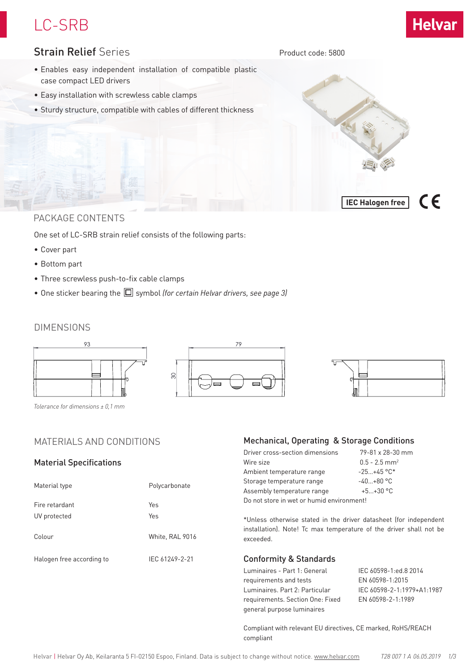# LC-SRB



 $\epsilon$ 

**IEC Halogen free**

### Strain Relief Series

Product code: 5800

- Enables easy independent installation of compatible plastic case compact LED drivers
- Easy installation with screwless cable clamps
- Sturdy structure, compatible with cables of different thickness

### PACKAGE CONTENTS

One set of LC-SRB strain relief consists of the following parts:

- Cover part
- Bottom part
- Three screwless push-to-fix cable clamps
- One sticker bearing the  $\square$  symbol *(for certain Helvar drivers, see page 3)*

### DIMENSIONS



*Tolerance for dimensions ± 0,1 mm*

### MATERIALS AND CONDITIONS

#### Material Specifications

| Material type                  | Polycarbonate   |  |
|--------------------------------|-----------------|--|
| Fire retardant<br>UV protected | Yes<br>Yes      |  |
| Colour                         | White, RAL 9016 |  |
| Halogen free according to      | IEC 61249-2-21  |  |

#### Mechanical, Operating & Storage Conditions

| Driver cross-section dimensions           | 79-81 x 28-30 mm            |  |
|-------------------------------------------|-----------------------------|--|
| Wire size                                 | $0.5 - 2.5$ mm <sup>2</sup> |  |
| Ambient temperature range                 | $-25+45$ °C*                |  |
| Storage temperature range                 | $-40+80$ °C                 |  |
| Assembly temperature range                | $+5+30$ °C                  |  |
| Do not store in wet or humid environment! |                             |  |
|                                           |                             |  |

\*Unless otherwise stated in the driver datasheet (for independent installation). Note! Tc max temperature of the driver shall not be exceeded.

#### Conformity & Standards

Luminaires - Part 1: General IEC 60598-1:ed.8 2014 requirements and tests EN 60598-1:2015 Luminaires. Part 2: Particular IEC 60598-2-1:1979+A1:1987 requirements. Section One: Fixed EN 60598-2-1:1989 general purpose luminaires

Compliant with relevant EU directives, CE marked, RoHS/REACH compliant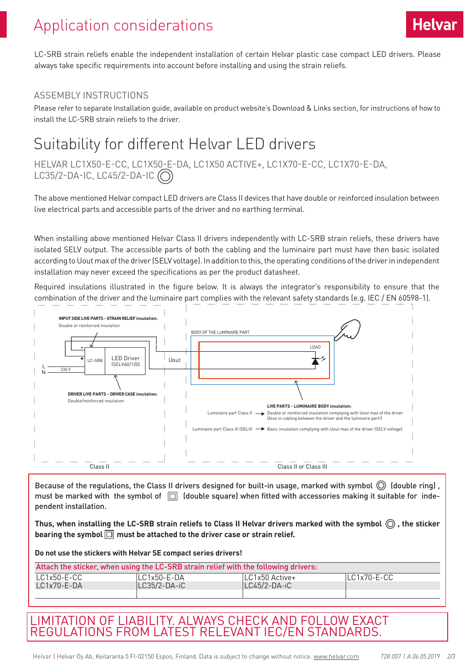# Application considerations

LC-SRB strain reliefs enable the independent installation of certain Helvar plastic case compact LED drivers. Please always take specific requirements into account before installing and using the strain reliefs.

### ASSEMBLY INSTRUCTIONS

Please refer to separate Installation guide, available on product website's Download & Links section, for instructions of how to install the LC-SRB strain reliefs to the driver.

## Suitability for different Helvar LED drivers

HELVAR LC1X50-E-CC, LC1X50-E-DA, LC1X50 ACTIVE+, LC1X70-E-CC, LC1X70-E-DA, LC35/2-DA-IC, LC45/2-DA-IC $\circ$ 

The above mentioned Helvar compact LED drivers are Class II devices that have double or reinforced insulation between live electrical parts and accessible parts of the driver and no earthing terminal.

When installing above mentioned Helvar Class II drivers independently with LC-SRB strain reliefs, these drivers have isolated SELV output. The accessible parts of both the cabling and the luminaire part must have then basic isolated according to Uout max of the driver (SELV voltage). In addition to this, the operating conditions of the driver in independent installation may never exceed the specifications as per the product datasheet.

Required insulations illustrated in the figure below. It is always the integrator's responsibility to ensure that the combination of the driver and the luminaire part complies with the relevant safety standards (e.g. IEC / EN 60598-1).



Because of the regulations, the Class II drivers designed for built-in usage, marked with symbol  $\bigcirc$  (double ring), must be marked with the symbol of  $\Box$  (double square) when fitted with accessories making it suitable for independent installation.

**Thus, when installing the LC-SRB strain reliefs to Class II Helvar drivers marked with the symbol , the sticker bearing the symbol must be attached to the driver case or strain relief.**

**Do not use the stickers with Helvar SE compact series drivers!**

| Attach the sticker, when using the LC-SRB strain relief with the following drivers: |              |                   |                 |
|-------------------------------------------------------------------------------------|--------------|-------------------|-----------------|
| LC1x50-E-CC                                                                         | ILC1x50-E-DA | $ LC1x50$ Active+ | $ LC1x70-E-CC $ |
| $LC1x70 - E-DA$                                                                     | LC35/2-DA-iC | LC45/2-DA-iC      |                 |
|                                                                                     |              |                   |                 |

### LIMITATION OF LIABILITY. ALWAYS CHECK AND FOLLOW EXACT REGULATIONS FROM LATEST RELEVANT IEC/EN STANDARDS.